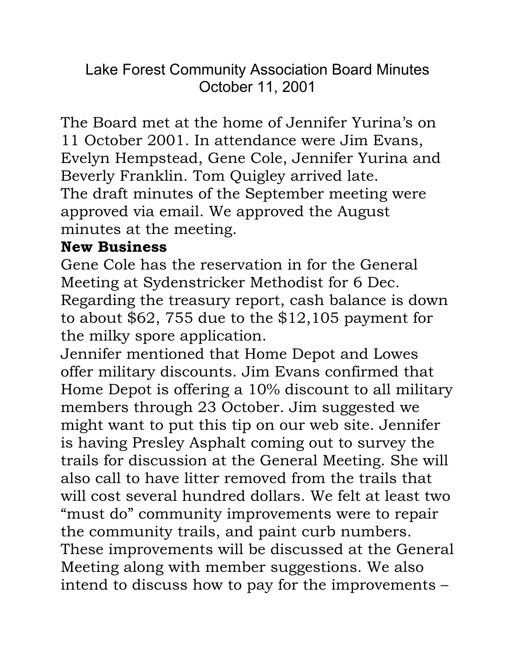Lake Forest Community Association Board Minutes October 11, 2001

The Board met at the home of Jennifer Yurina's on 11 October 2001. In attendance were Jim Evans, Evelyn Hempstead, Gene Cole, Jennifer Yurina and Beverly Franklin. Tom Quigley arrived late. The draft minutes of the September meeting were approved via email. We approved the August minutes at the meeting.

## **New Business**

Gene Cole has the reservation in for the General Meeting at Sydenstricker Methodist for 6 Dec. Regarding the treasury report, cash balance is down to about \$62, 755 due to the \$12,105 payment for the milky spore application.

Jennifer mentioned that Home Depot and Lowes offer military discounts. Jim Evans confirmed that Home Depot is offering a 10% discount to all military members through 23 October. Jim suggested we might want to put this tip on our web site. Jennifer is having Presley Asphalt coming out to survey the trails for discussion at the General Meeting. She will also call to have litter removed from the trails that will cost several hundred dollars. We felt at least two "must do" community improvements were to repair the community trails, and paint curb numbers. These improvements will be discussed at the General Meeting along with member suggestions. We also intend to discuss how to pay for the improvements –